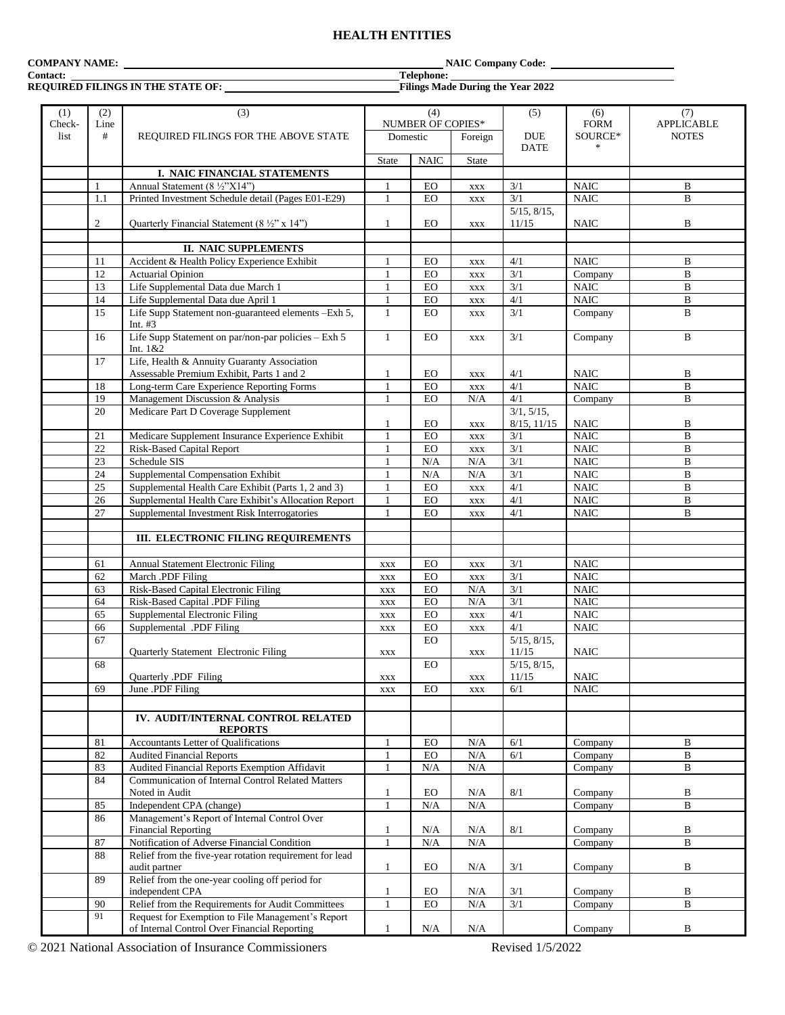# **HEALTH ENTITIES**

# **Contact: Telephone:**

## **REQUIRED FILINGS IN THE STATE OF: Filings Made During the Year 2022**

**COMPANY NAME:** NAIC Company Code:

| (1)            | (2)            | (3)                                                                        |              | (4)               |                | (5)               | (6)                        | (7)                               |
|----------------|----------------|----------------------------------------------------------------------------|--------------|-------------------|----------------|-------------------|----------------------------|-----------------------------------|
| Check-<br>list | Line<br>#      |                                                                            |              | NUMBER OF COPIES* |                | <b>DUE</b>        | <b>FORM</b><br>SOURCE*     | <b>APPLICABLE</b><br><b>NOTES</b> |
|                |                | REQUIRED FILINGS FOR THE ABOVE STATE                                       | Domestic     |                   | Foreign        | <b>DATE</b>       |                            |                                   |
|                |                |                                                                            | <b>State</b> | <b>NAIC</b>       | <b>State</b>   |                   |                            |                                   |
|                |                | I. NAIC FINANCIAL STATEMENTS                                               |              |                   |                |                   |                            |                                   |
|                | 1              | Annual Statement (8 ½"X14")                                                | $\mathbf{1}$ | EO                | <b>XXX</b>     | 3/1               | <b>NAIC</b>                | B                                 |
|                | 1.1            | Printed Investment Schedule detail (Pages E01-E29)                         | 1            | EO                |                | 3/1               | <b>NAIC</b>                | $\mathbf B$                       |
|                |                |                                                                            |              |                   | $\mathbf{XXX}$ | 5/15, 8/15,       |                            |                                   |
|                | $\overline{2}$ |                                                                            | 1            | EO                |                | 11/15             | <b>NAIC</b>                | $\, {\bf B}$                      |
|                |                | Quarterly Financial Statement (8 1/2" x 14")                               |              |                   | $\mathbf{XXX}$ |                   |                            |                                   |
|                |                | <b>II. NAIC SUPPLEMENTS</b>                                                |              |                   |                |                   |                            |                                   |
|                |                | Accident & Health Policy Experience Exhibit                                |              |                   |                |                   | <b>NAIC</b>                | B                                 |
|                | 11<br>12       |                                                                            | 1            | EO                | $\mathbf{XXX}$ | 4/1               |                            |                                   |
|                |                | <b>Actuarial Opinion</b>                                                   |              | EO                | <b>XXX</b>     | 3/1               | Company                    | $\, {\bf B}$                      |
|                | 13             | Life Supplemental Data due March 1                                         | $\mathbf{1}$ | EO                | <b>XXX</b>     | 3/1               | <b>NAIC</b><br><b>NAIC</b> | $\, {\bf B}$                      |
|                | 14             | Life Supplemental Data due April 1                                         | 1            | EO                | $\mathbf{XXX}$ | 4/1               |                            | $\bf{B}$                          |
|                | 15             | Life Supp Statement non-guaranteed elements - Exh 5,                       | $\mathbf{1}$ | EO                | <b>XXX</b>     | 3/1               | Company                    | $\, {\bf B}$                      |
|                |                | Int. $#3$                                                                  |              |                   |                |                   |                            |                                   |
|                | 16             | Life Supp Statement on par/non-par policies - Exh 5<br>Int. 1&2            | 1            | EO                | <b>XXX</b>     | 3/1               | Company                    | $\, {\bf B}$                      |
|                | 17             | Life, Health & Annuity Guaranty Association                                |              |                   |                |                   |                            |                                   |
|                |                | Assessable Premium Exhibit, Parts 1 and 2                                  | 1            | EO                | $\mathbf{XXX}$ | 4/1               | <b>NAIC</b>                | B                                 |
|                | 18             | Long-term Care Experience Reporting Forms                                  | $\mathbf{1}$ | EO                | $\mathbf{XXX}$ | 4/1               | <b>NAIC</b>                | $\, {\bf B}$                      |
|                | 19             | Management Discussion & Analysis                                           | $\mathbf{1}$ | EO                | N/A            | 4/1               | Company                    | $\mathbf B$                       |
|                | 20             | Medicare Part D Coverage Supplement                                        |              |                   |                | 3/1, 5/15,        |                            |                                   |
|                |                |                                                                            | 1            | EO                | $\mathbf{XXX}$ | 8/15, 11/15       | <b>NAIC</b>                | $\, {\bf B}$                      |
|                | 21             | Medicare Supplement Insurance Experience Exhibit                           | 1            | EO                | $\mathbf{XXX}$ | 3/1               | <b>NAIC</b>                | $\, {\bf B}$                      |
|                | 22             | <b>Risk-Based Capital Report</b>                                           | $\mathbf{1}$ | EO                | <b>XXX</b>     | 3/1               | <b>NAIC</b>                | $\mathbf B$                       |
|                | 23             | Schedule SIS                                                               | $\mathbf{1}$ | $\rm N/A$         | $\rm N/A$      | $\overline{3/1}$  | <b>NAIC</b>                | $\, {\bf B}$                      |
|                | 24             | Supplemental Compensation Exhibit                                          | 1            | N/A               | $\rm N/A$      | 3/1               | $\rm NAIC$                 | $\, {\bf B}$                      |
|                | 25             | Supplemental Health Care Exhibit (Parts 1, 2 and 3)                        | $\mathbf{1}$ | EO                | $\mathbf{XXX}$ | 4/1               | <b>NAIC</b>                | $\, {\bf B}$                      |
|                | 26             | Supplemental Health Care Exhibit's Allocation Report                       | $\mathbf{1}$ | EO                | <b>XXX</b>     | 4/1               | <b>NAIC</b>                | $\bf{B}$                          |
|                | 27             | Supplemental Investment Risk Interrogatories                               | $\mathbf{1}$ | EO                | <b>XXX</b>     | 4/1               | <b>NAIC</b>                | $\mathbf B$                       |
|                |                |                                                                            |              |                   |                |                   |                            |                                   |
|                |                | III. ELECTRONIC FILING REQUIREMENTS                                        |              |                   |                |                   |                            |                                   |
|                |                |                                                                            |              |                   |                |                   |                            |                                   |
|                | 61             | Annual Statement Electronic Filing                                         | <b>XXX</b>   | EO                | $\mathbf{XXX}$ | 3/1               | <b>NAIC</b>                |                                   |
|                | 62             | March .PDF Filing                                                          | <b>XXX</b>   | EO                | <b>XXX</b>     | $\overline{3}/1$  | <b>NAIC</b>                |                                   |
|                | 63             | Risk-Based Capital Electronic Filing                                       | <b>XXX</b>   | EO                | N/A            | 3/1               | $\rm NAIC$                 |                                   |
|                | 64             | Risk-Based Capital .PDF Filing                                             | XXX          | EO                | N/A            | 3/1               | <b>NAIC</b>                |                                   |
|                | 65             | Supplemental Electronic Filing                                             | XXX          | <b>EO</b>         | XXX            | 4/1               | <b>NAIC</b>                |                                   |
|                | 66             | Supplemental .PDF Filing                                                   | <b>XXX</b>   | EO                | $\mathbf{XXX}$ | 4/1               | <b>NAIC</b>                |                                   |
|                | 67             |                                                                            |              | EO                |                | $5/15$ , $8/15$ , |                            |                                   |
|                |                | <b>Ouarterly Statement Electronic Filing</b>                               | <b>XXX</b>   |                   | $\mathbf{XXX}$ | 11/15             | <b>NAIC</b>                |                                   |
|                | 68             |                                                                            |              | EO                |                | 5/15, 8/15,       |                            |                                   |
|                |                | Quarterly .PDF Filing                                                      | XXX          |                   | XXX            | 11/15             | <b>NAIC</b>                |                                   |
|                | 69             | June .PDF Filing                                                           | <b>XXX</b>   | EO                | $\mathbf{XXX}$ | 6/1               | <b>NAIC</b>                |                                   |
|                |                |                                                                            |              |                   |                |                   |                            |                                   |
|                |                | IV. AUDIT/INTERNAL CONTROL RELATED                                         |              |                   |                |                   |                            |                                   |
|                |                | <b>REPORTS</b>                                                             |              |                   |                |                   |                            |                                   |
|                | 81             | Accountants Letter of Qualifications                                       | $\mathbf{1}$ | EO                | $\rm N/A$      | 6/1               | Company                    | B                                 |
|                | 82             | <b>Audited Financial Reports</b>                                           | $\mathbf{1}$ | <b>EO</b>         | N/A            | 6/1               | Company                    | B                                 |
|                |                |                                                                            |              |                   |                |                   |                            |                                   |
|                | 83             | Audited Financial Reports Exemption Affidavit                              | 1            | N/A               | N/A            |                   | Company                    | B                                 |
|                | 84             | <b>Communication of Internal Control Related Matters</b><br>Noted in Audit |              |                   |                |                   |                            |                                   |
|                |                |                                                                            | 1            | EO                | N/A            | $8/1$             | Company                    | B                                 |
|                | 85             | Independent CPA (change)                                                   |              | N/A               | N/A            |                   | Company                    | $\mathbf B$                       |
|                | 86             | Management's Report of Internal Control Over                               |              |                   |                |                   |                            |                                   |
|                |                | <b>Financial Reporting</b><br>Notification of Adverse Financial Condition  | 1            | N/A               | N/A            | 8/1               | Company                    | B<br>$\, {\bf B}$                 |
|                | 87             |                                                                            | $\mathbf{1}$ | $\rm N/A$         | $\rm N/A$      |                   | Company                    |                                   |
|                | 88             | Relief from the five-year rotation requirement for lead                    |              |                   |                |                   |                            |                                   |
|                |                | audit partner                                                              | 1            | EO                | N/A            | 3/1               | Company                    | B                                 |
|                | 89             | Relief from the one-year cooling off period for                            |              |                   |                |                   |                            |                                   |
|                |                | independent CPA                                                            | $\mathbf{1}$ | EO                | N/A            | 3/1               | Company                    | B                                 |
|                | 90             | Relief from the Requirements for Audit Committees                          |              | ${\rm EO}$        | N/A            | 3/1               | Company                    | B                                 |
|                | 91             | Request for Exemption to File Management's Report                          |              |                   |                |                   |                            |                                   |
|                |                | of Internal Control Over Financial Reporting                               |              | N/A               | N/A            |                   | Company                    | B                                 |

© 2021 National Association of Insurance Commissioners Revised 1/5/2022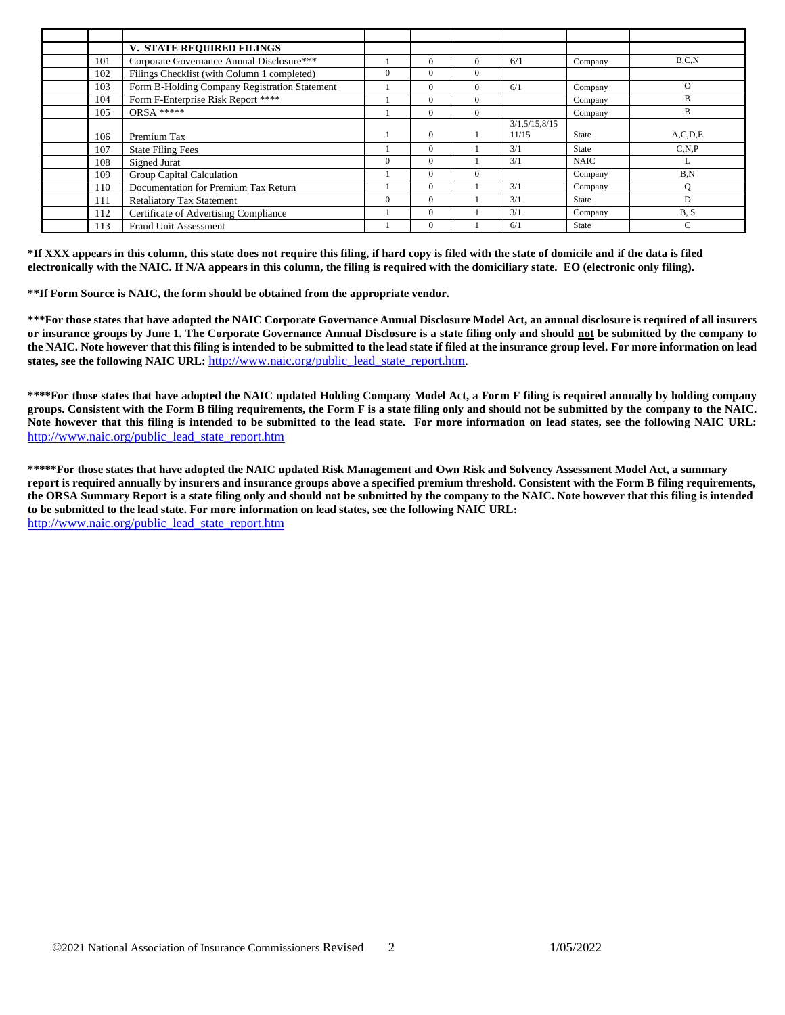|     | V. STATE REQUIRED FILINGS                     |          |          |          |               |              |            |
|-----|-----------------------------------------------|----------|----------|----------|---------------|--------------|------------|
| 101 | Corporate Governance Annual Disclosure***     |          | $\Omega$ | $\Omega$ | 6/1           | Company      | B.C.N      |
| 102 | Filings Checklist (with Column 1 completed)   | $\Omega$ | $\Omega$ | $\Omega$ |               |              |            |
| 103 | Form B-Holding Company Registration Statement |          | $\Omega$ | $\Omega$ | 6/1           | Company      | $\Omega$   |
| 104 | Form F-Enterprise Risk Report ****            |          | $\Omega$ | $\Omega$ |               | Company      | B          |
| 105 | $ORSA***$                                     |          | $\Omega$ | $\Omega$ |               | Company      | B          |
|     |                                               |          |          |          | 3/1,5/15,8/15 |              |            |
| 106 | Premium Tax                                   |          | $\Omega$ |          | 11/15         | State        | A, C, D, E |
| 107 | <b>State Filing Fees</b>                      |          | $\Omega$ |          | 3/1           | State        | C.N.P      |
| 108 | Signed Jurat                                  | $\Omega$ | $\Omega$ |          | 3/1           | <b>NAIC</b>  | L          |
| 109 | Group Capital Calculation                     |          | $\Omega$ | $\Omega$ |               | Company      | B.N        |
| 110 | Documentation for Premium Tax Return          |          | $\Omega$ |          | 3/1           | Company      | Q          |
| 111 | <b>Retaliatory Tax Statement</b>              | $\Omega$ | $\Omega$ |          | 3/1           | State        | D          |
| 112 | Certificate of Advertising Compliance         |          | $\Omega$ |          | 3/1           | Company      | B, S       |
| 113 | <b>Fraud Unit Assessment</b>                  |          | $\Omega$ |          | 6/1           | <b>State</b> | C          |

**\*If XXX appears in this column, this state does not require this filing, if hard copy is filed with the state of domicile and if the data is filed electronically with the NAIC. If N/A appears in this column, the filing is required with the domiciliary state. EO (electronic only filing).**

**\*\*If Form Source is NAIC, the form should be obtained from the appropriate vendor.** 

**\*\*\*For those states that have adopted the NAIC Corporate Governance Annual Disclosure Model Act, an annual disclosure is required of all insurers or insurance groups by June 1. The Corporate Governance Annual Disclosure is a state filing only and should not be submitted by the company to the NAIC. Note however that this filing is intended to be submitted to the lead state if filed at the insurance group level. For more information on lead states, see the following NAIC URL:** [http://www.naic.org/public\\_lead\\_state\\_report.htm](http://www.naic.org/public_lead_state_report.htm).

**\*\*\*\*For those states that have adopted the NAIC updated Holding Company Model Act, a Form F filing is required annually by holding company groups. Consistent with the Form B filing requirements, the Form F is a state filing only and should not be submitted by the company to the NAIC. Note however that this filing is intended to be submitted to the lead state. For more information on lead states, see the following NAIC URL:** [http://www.naic.org/public\\_lead\\_state\\_report.htm](http://www.naic.org/public_lead_state_report.htm)

**\*\*\*\*\*For those states that have adopted the NAIC updated Risk Management and Own Risk and Solvency Assessment Model Act, a summary report is required annually by insurers and insurance groups above a specified premium threshold. Consistent with the Form B filing requirements, the ORSA Summary Report is a state filing only and should not be submitted by the company to the NAIC. Note however that this filing is intended to be submitted to the lead state. For more information on lead states, see the following NAIC URL:**  [http://www.naic.org/public\\_lead\\_state\\_report.htm](http://www.naic.org/public_lead_state_report.htm)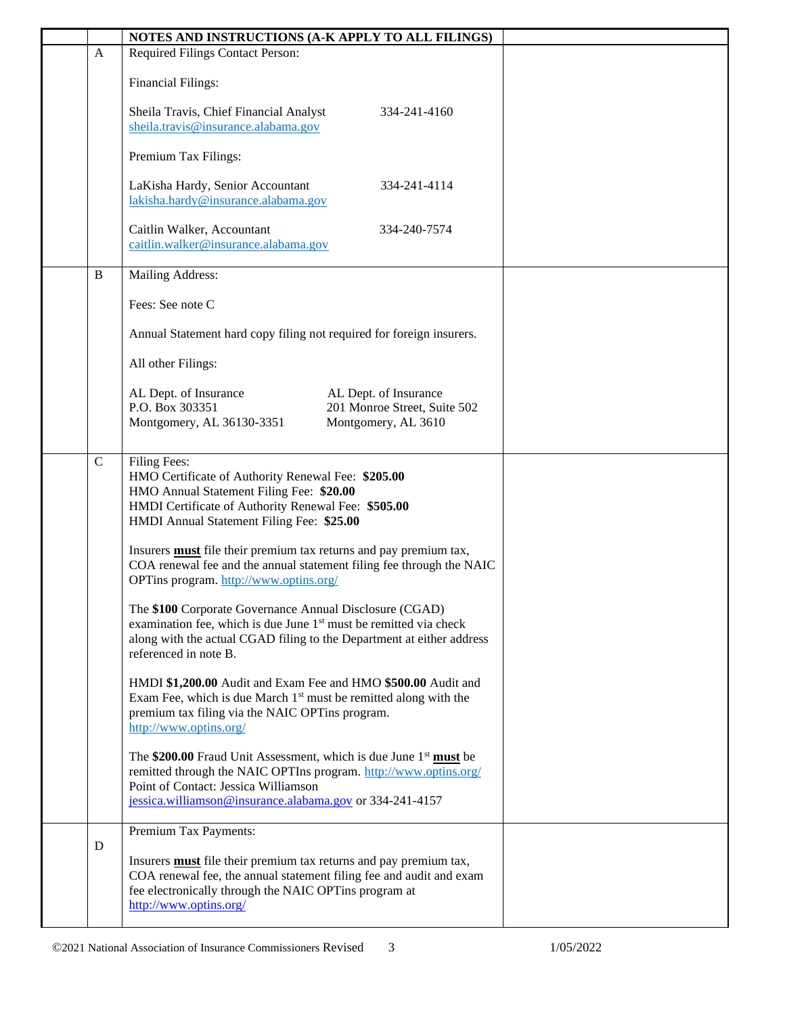|              | NOTES AND INSTRUCTIONS (A-K APPLY TO ALL FILINGS)                                                                                                                                                                                           |  |
|--------------|---------------------------------------------------------------------------------------------------------------------------------------------------------------------------------------------------------------------------------------------|--|
| $\mathbf{A}$ | Required Filings Contact Person:                                                                                                                                                                                                            |  |
|              | <b>Financial Filings:</b>                                                                                                                                                                                                                   |  |
|              | Sheila Travis, Chief Financial Analyst<br>334-241-4160<br>sheila.travis@insurance.alabama.gov                                                                                                                                               |  |
|              | Premium Tax Filings:                                                                                                                                                                                                                        |  |
|              | LaKisha Hardy, Senior Accountant<br>334-241-4114<br>lakisha.hardy@insurance.alabama.gov                                                                                                                                                     |  |
|              | Caitlin Walker, Accountant<br>334-240-7574<br>caitlin.walker@insurance.alabama.gov                                                                                                                                                          |  |
| $\, {\bf B}$ | Mailing Address:                                                                                                                                                                                                                            |  |
|              | Fees: See note C                                                                                                                                                                                                                            |  |
|              | Annual Statement hard copy filing not required for foreign insurers.                                                                                                                                                                        |  |
|              | All other Filings:                                                                                                                                                                                                                          |  |
|              | AL Dept. of Insurance<br>AL Dept. of Insurance<br>P.O. Box 303351<br>201 Monroe Street, Suite 502<br>Montgomery, AL 36130-3351<br>Montgomery, AL 3610                                                                                       |  |
| $\mathsf{C}$ | Filing Fees:<br>HMO Certificate of Authority Renewal Fee: \$205.00<br>HMO Annual Statement Filing Fee: \$20.00<br>HMDI Certificate of Authority Renewal Fee: \$505.00<br>HMDI Annual Statement Filing Fee: \$25.00                          |  |
|              | Insurers <b>must</b> file their premium tax returns and pay premium tax,<br>COA renewal fee and the annual statement filing fee through the NAIC<br>OPTins program. http://www.optins.org/                                                  |  |
|              | The \$100 Corporate Governance Annual Disclosure (CGAD)<br>examination fee, which is due June 1 <sup>st</sup> must be remitted via check<br>along with the actual CGAD filing to the Department at either address<br>referenced in note B.  |  |
|              | HMDI \$1,200.00 Audit and Exam Fee and HMO \$500.00 Audit and<br>Exam Fee, which is due March $1st$ must be remitted along with the<br>premium tax filing via the NAIC OPTins program.<br>http://www.optins.org/                            |  |
|              | The \$200.00 Fraud Unit Assessment, which is due June $1st$ must be<br>remitted through the NAIC OPTIns program. http://www.optins.org/<br>Point of Contact: Jessica Williamson<br>jessica.williamson@insurance.alabama.gov or 334-241-4157 |  |
|              | Premium Tax Payments:                                                                                                                                                                                                                       |  |
| D            | Insurers <b>must</b> file their premium tax returns and pay premium tax,<br>COA renewal fee, the annual statement filing fee and audit and exam<br>fee electronically through the NAIC OPTins program at<br>http://www.optins.org/          |  |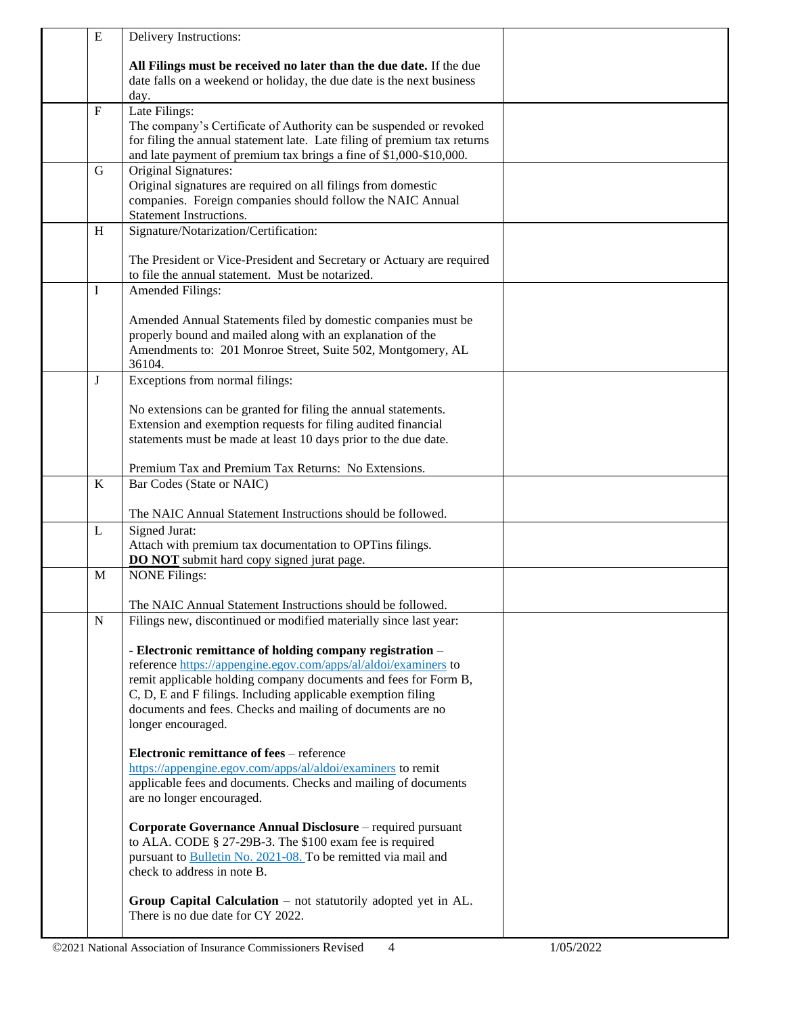| ${\bf E}$    | Delivery Instructions:                                                                                                                       |  |
|--------------|----------------------------------------------------------------------------------------------------------------------------------------------|--|
|              |                                                                                                                                              |  |
|              | All Filings must be received no later than the due date. If the due<br>date falls on a weekend or holiday, the due date is the next business |  |
|              | day.                                                                                                                                         |  |
| $\mathbf{F}$ | Late Filings:                                                                                                                                |  |
|              | The company's Certificate of Authority can be suspended or revoked                                                                           |  |
|              | for filing the annual statement late. Late filing of premium tax returns                                                                     |  |
|              | and late payment of premium tax brings a fine of \$1,000-\$10,000.                                                                           |  |
| $\mathbf G$  | Original Signatures:                                                                                                                         |  |
|              | Original signatures are required on all filings from domestic                                                                                |  |
|              | companies. Foreign companies should follow the NAIC Annual<br><b>Statement Instructions.</b>                                                 |  |
| H            | Signature/Notarization/Certification:                                                                                                        |  |
|              |                                                                                                                                              |  |
|              | The President or Vice-President and Secretary or Actuary are required                                                                        |  |
|              | to file the annual statement. Must be notarized.                                                                                             |  |
| Ι            | Amended Filings:                                                                                                                             |  |
|              |                                                                                                                                              |  |
|              | Amended Annual Statements filed by domestic companies must be<br>properly bound and mailed along with an explanation of the                  |  |
|              | Amendments to: 201 Monroe Street, Suite 502, Montgomery, AL                                                                                  |  |
|              | 36104.                                                                                                                                       |  |
| $\mathbf{J}$ | Exceptions from normal filings:                                                                                                              |  |
|              |                                                                                                                                              |  |
|              | No extensions can be granted for filing the annual statements.                                                                               |  |
|              | Extension and exemption requests for filing audited financial<br>statements must be made at least 10 days prior to the due date.             |  |
|              |                                                                                                                                              |  |
|              | Premium Tax and Premium Tax Returns: No Extensions.                                                                                          |  |
| K            | Bar Codes (State or NAIC)                                                                                                                    |  |
|              |                                                                                                                                              |  |
|              | The NAIC Annual Statement Instructions should be followed.                                                                                   |  |
| L            | <b>Signed Jurat:</b>                                                                                                                         |  |
|              | Attach with premium tax documentation to OPTins filings.<br><b>DO NOT</b> submit hard copy signed jurat page.                                |  |
| M            | <b>NONE Filings:</b>                                                                                                                         |  |
|              |                                                                                                                                              |  |
|              | The NAIC Annual Statement Instructions should be followed.                                                                                   |  |
| ${\bf N}$    | Filings new, discontinued or modified materially since last year:                                                                            |  |
|              |                                                                                                                                              |  |
|              | - Electronic remittance of holding company registration -<br>reference https://appengine.egov.com/apps/al/aldoi/examiners to                 |  |
|              | remit applicable holding company documents and fees for Form B,                                                                              |  |
|              | C, D, E and F filings. Including applicable exemption filing                                                                                 |  |
|              | documents and fees. Checks and mailing of documents are no                                                                                   |  |
|              | longer encouraged.                                                                                                                           |  |
|              |                                                                                                                                              |  |
|              | <b>Electronic remittance of fees</b> – reference<br>https://appengine.egov.com/apps/al/aldoi/examiners to remit                              |  |
|              | applicable fees and documents. Checks and mailing of documents                                                                               |  |
|              | are no longer encouraged.                                                                                                                    |  |
|              |                                                                                                                                              |  |
|              | Corporate Governance Annual Disclosure – required pursuant                                                                                   |  |
|              | to ALA. CODE § 27-29B-3. The \$100 exam fee is required                                                                                      |  |
|              | pursuant to Bulletin No. 2021-08. To be remitted via mail and                                                                                |  |
|              | check to address in note B.                                                                                                                  |  |
|              | Group Capital Calculation $-$ not statutorily adopted yet in AL.                                                                             |  |
|              | There is no due date for CY 2022.                                                                                                            |  |
|              |                                                                                                                                              |  |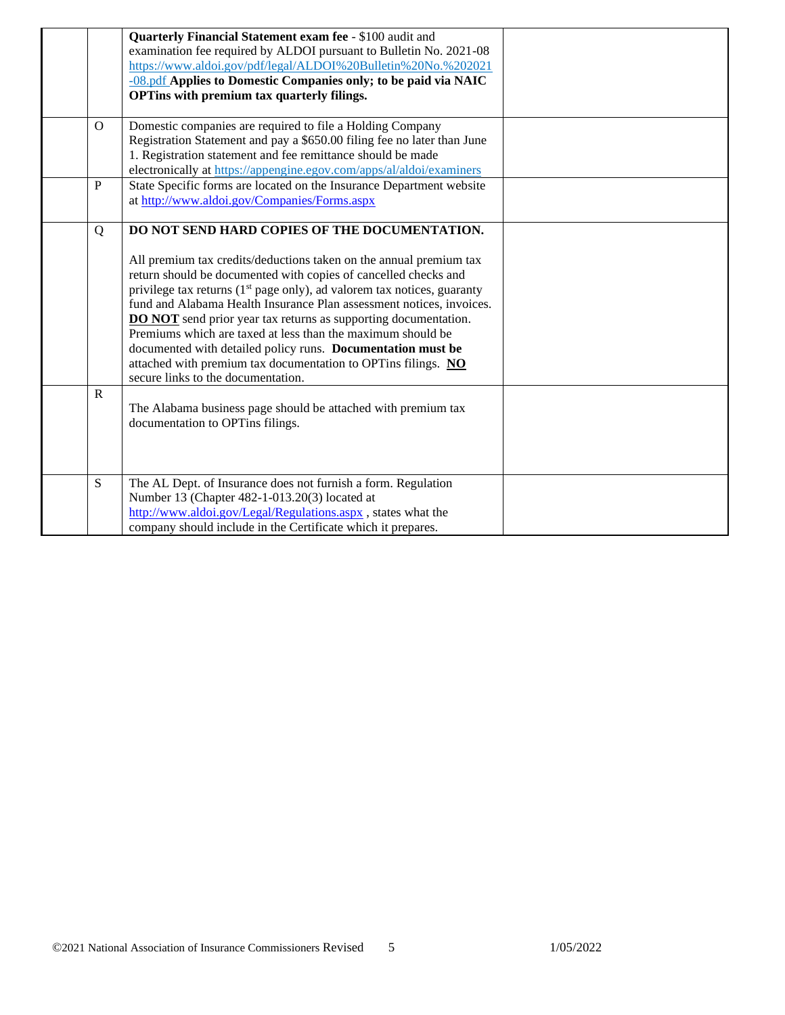|             | Quarterly Financial Statement exam fee - \$100 audit and                   |  |
|-------------|----------------------------------------------------------------------------|--|
|             | examination fee required by ALDOI pursuant to Bulletin No. 2021-08         |  |
|             | https://www.aldoi.gov/pdf/legal/ALDOI%20Bulletin%20No.%202021              |  |
|             | -08.pdf Applies to Domestic Companies only; to be paid via NAIC            |  |
|             | OPTins with premium tax quarterly filings.                                 |  |
|             |                                                                            |  |
| $\Omega$    | Domestic companies are required to file a Holding Company                  |  |
|             | Registration Statement and pay a \$650.00 filing fee no later than June    |  |
|             | 1. Registration statement and fee remittance should be made                |  |
|             | electronically at https://appengine.egov.com/apps/al/aldoi/examiners       |  |
| $\mathbf P$ | State Specific forms are located on the Insurance Department website       |  |
|             | at http://www.aldoi.gov/Companies/Forms.aspx                               |  |
|             |                                                                            |  |
| Q           | DO NOT SEND HARD COPIES OF THE DOCUMENTATION.                              |  |
|             |                                                                            |  |
|             | All premium tax credits/deductions taken on the annual premium tax         |  |
|             | return should be documented with copies of cancelled checks and            |  |
|             | privilege tax returns $(1st page only)$ , ad valorem tax notices, guaranty |  |
|             | fund and Alabama Health Insurance Plan assessment notices, invoices.       |  |
|             | <b>DO NOT</b> send prior year tax returns as supporting documentation.     |  |
|             | Premiums which are taxed at less than the maximum should be                |  |
|             | documented with detailed policy runs. Documentation must be                |  |
|             | attached with premium tax documentation to OPTins filings. NO              |  |
|             | secure links to the documentation.                                         |  |
| $\mathbf R$ |                                                                            |  |
|             | The Alabama business page should be attached with premium tax              |  |
|             | documentation to OPTins filings.                                           |  |
|             |                                                                            |  |
|             |                                                                            |  |
|             |                                                                            |  |
| S           | The AL Dept. of Insurance does not furnish a form. Regulation              |  |
|             | Number 13 (Chapter 482-1-013.20(3) located at                              |  |
|             | http://www.aldoi.gov/Legal/Regulations.aspx, states what the               |  |
|             | company should include in the Certificate which it prepares.               |  |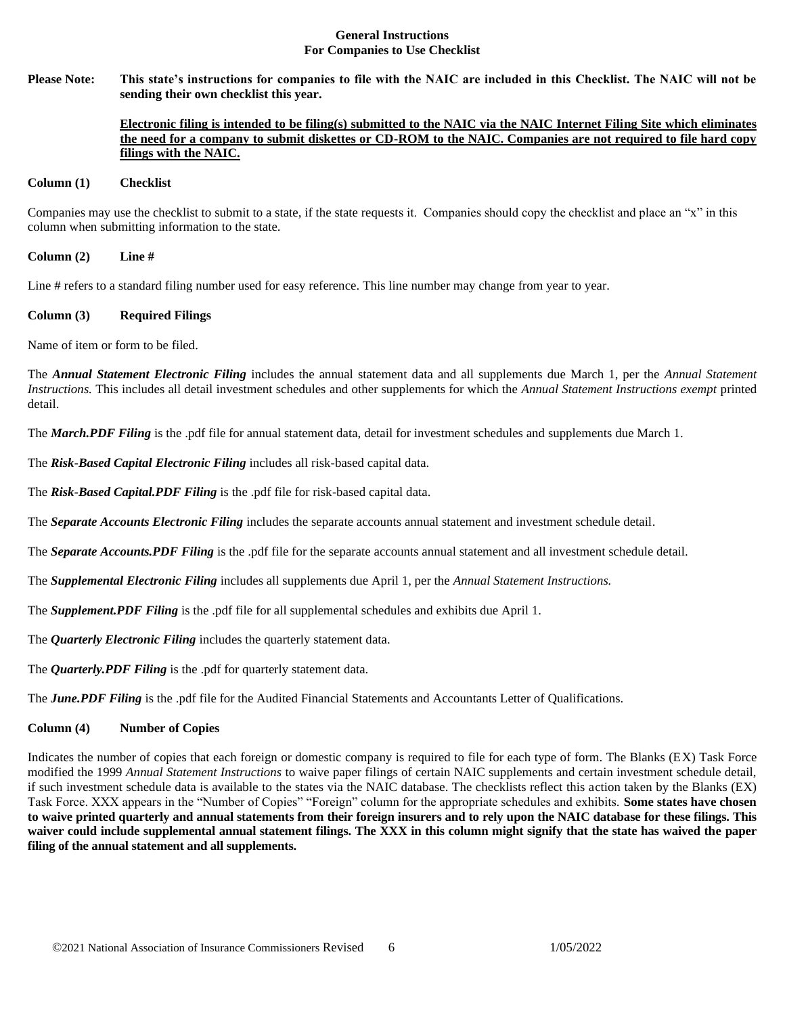#### **General Instructions For Companies to Use Checklist**

**Please Note: This state's instructions for companies to file with the NAIC are included in this Checklist. The NAIC will not be sending their own checklist this year.** 

# **Electronic filing is intended to be filing(s) submitted to the NAIC via the NAIC Internet Filing Site which eliminates the need for a company to submit diskettes or CD-ROM to the NAIC. Companies are not required to file hard copy filings with the NAIC.**

#### **Column (1) Checklist**

Companies may use the checklist to submit to a state, if the state requests it. Companies should copy the checklist and place an "x" in this column when submitting information to the state.

**Column (2) Line #**

Line # refers to a standard filing number used for easy reference. This line number may change from year to year.

#### **Column (3) Required Filings**

Name of item or form to be filed.

The *Annual Statement Electronic Filing* includes the annual statement data and all supplements due March 1, per the *Annual Statement Instructions.* This includes all detail investment schedules and other supplements for which the *Annual Statement Instructions exempt* printed detail.

The *March.PDF Filing* is the .pdf file for annual statement data, detail for investment schedules and supplements due March 1.

The *Risk-Based Capital Electronic Filing* includes all risk-based capital data.

The *Risk-Based Capital.PDF Filing* is the .pdf file for risk-based capital data.

The *Separate Accounts Electronic Filing* includes the separate accounts annual statement and investment schedule detail.

The *Separate Accounts.PDF Filing* is the .pdf file for the separate accounts annual statement and all investment schedule detail.

The *Supplemental Electronic Filing* includes all supplements due April 1, per the *Annual Statement Instructions.* 

The *Supplement.PDF Filing* is the .pdf file for all supplemental schedules and exhibits due April 1.

The *Quarterly Electronic Filing* includes the quarterly statement data.

The *Quarterly.PDF Filing* is the .pdf for quarterly statement data.

The *June.PDF Filing* is the .pdf file for the Audited Financial Statements and Accountants Letter of Qualifications.

# **Column (4) Number of Copies**

Indicates the number of copies that each foreign or domestic company is required to file for each type of form. The Blanks (EX) Task Force modified the 1999 *Annual Statement Instructions* to waive paper filings of certain NAIC supplements and certain investment schedule detail, if such investment schedule data is available to the states via the NAIC database. The checklists reflect this action taken by the Blanks (EX) Task Force. XXX appears in the "Number of Copies" "Foreign" column for the appropriate schedules and exhibits. **Some states have chosen to waive printed quarterly and annual statements from their foreign insurers and to rely upon the NAIC database for these filings. This waiver could include supplemental annual statement filings. The XXX in this column might signify that the state has waived the paper filing of the annual statement and all supplements.**